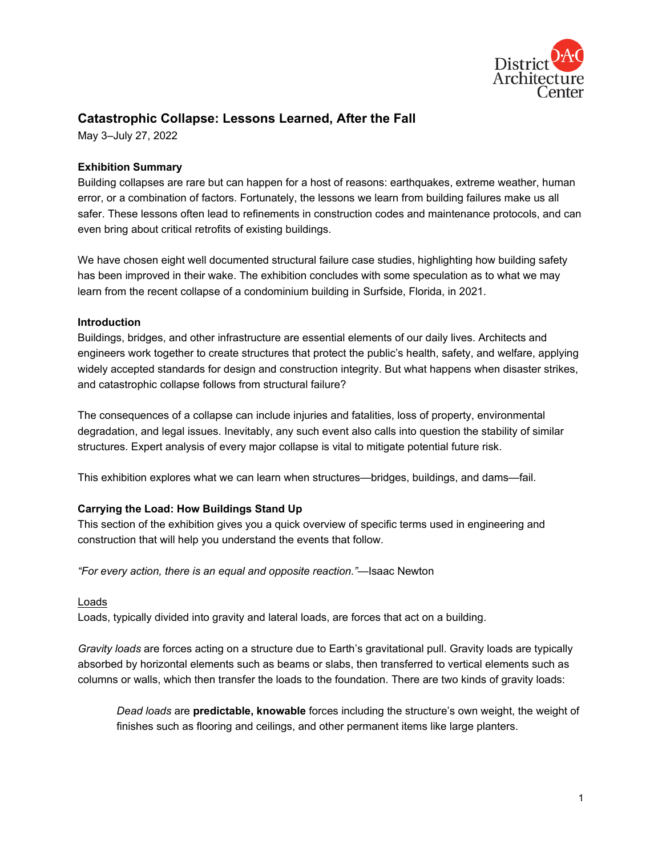

# **Catastrophic Collapse: Lessons Learned, After the Fall**

May 3–July 27, 2022

# **Exhibition Summary**

Building collapses are rare but can happen for a host of reasons: earthquakes, extreme weather, human error, or a combination of factors. Fortunately, the lessons we learn from building failures make us all safer. These lessons often lead to refinements in construction codes and maintenance protocols, and can even bring about critical retrofits of existing buildings.

We have chosen eight well documented structural failure case studies, highlighting how building safety has been improved in their wake. The exhibition concludes with some speculation as to what we may learn from the recent collapse of a condominium building in Surfside, Florida, in 2021.

#### **Introduction**

Buildings, bridges, and other infrastructure are essential elements of our daily lives. Architects and engineers work together to create structures that protect the public's health, safety, and welfare, applying widely accepted standards for design and construction integrity. But what happens when disaster strikes, and catastrophic collapse follows from structural failure?

The consequences of a collapse can include injuries and fatalities, loss of property, environmental degradation, and legal issues. Inevitably, any such event also calls into question the stability of similar structures. Expert analysis of every major collapse is vital to mitigate potential future risk.

This exhibition explores what we can learn when structures—bridges, buildings, and dams—fail.

# **Carrying the Load: How Buildings Stand Up**

This section of the exhibition gives you a quick overview of specific terms used in engineering and construction that will help you understand the events that follow.

*"For every action, there is an equal and opposite reaction."*—Isaac Newton

#### Loads

Loads, typically divided into gravity and lateral loads, are forces that act on a building.

*Gravity loads* are forces acting on a structure due to Earth's gravitational pull. Gravity loads are typically absorbed by horizontal elements such as beams or slabs, then transferred to vertical elements such as columns or walls, which then transfer the loads to the foundation. There are two kinds of gravity loads:

*Dead loads* are **predictable, knowable** forces including the structure's own weight, the weight of finishes such as flooring and ceilings, and other permanent items like large planters.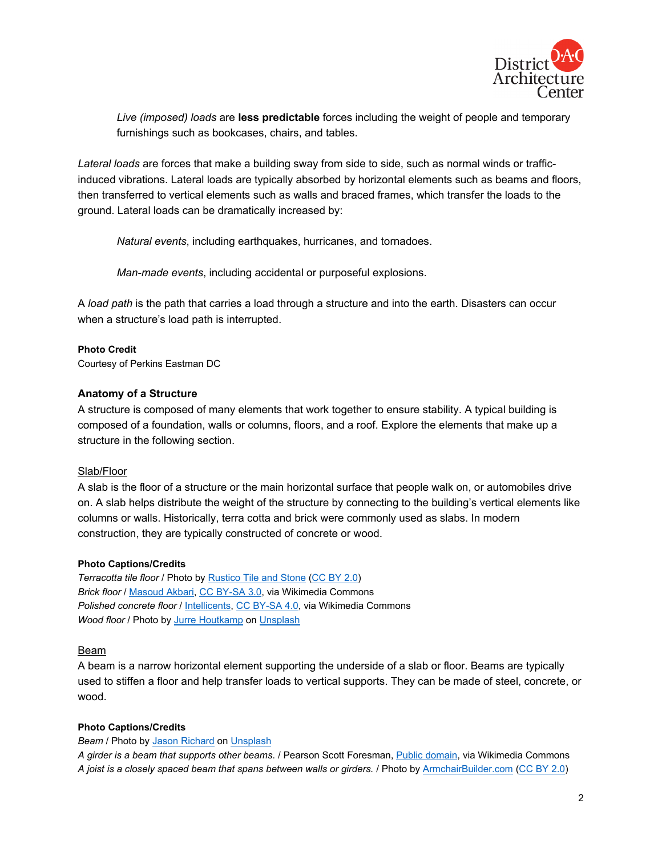

*Live (imposed) loads* are **less predictable** forces including the weight of people and temporary furnishings such as bookcases, chairs, and tables.

*Lateral loads* are forces that make a building sway from side to side, such as normal winds or trafficinduced vibrations. Lateral loads are typically absorbed by horizontal elements such as beams and floors, then transferred to vertical elements such as walls and braced frames, which transfer the loads to the ground. Lateral loads can be dramatically increased by:

*Natural events*, including earthquakes, hurricanes, and tornadoes.

*Man-made events*, including accidental or purposeful explosions.

A *load path* is the path that carries a load through a structure and into the earth. Disasters can occur when a structure's load path is interrupted.

**Photo Credit** Courtesy of Perkins Eastman DC

# **Anatomy of a Structure**

A structure is composed of many elements that work together to ensure stability. A typical building is composed of a foundation, walls or columns, floors, and a roof. Explore the elements that make up a structure in the following section.

#### Slab/Floor

A slab is the floor of a structure or the main horizontal surface that people walk on, or automobiles drive on. A slab helps distribute the weight of the structure by connecting to the building's vertical elements like columns or walls. Historically, terra cotta and brick were commonly used as slabs. In modern construction, they are typically constructed of concrete or wood.

#### **Photo Captions/Credits**

*Terracotta tile floor* / Photo by [Rustico Tile and Stone](https://www.flickr.com/photos/137891532@N07/28152474870/in/photolist-JTJMXL-2351bJr-26iu4ee-q8amKD-2mrt9X2-2mrxJSs-2mZxgP1-aqZKrA-qMncbG-qMoxjC-qMoyt1-aqZR5L-qN3iXF-qMUSBJ-r2DWcJ-qMURPS-N4ok67-6MXVkw-27iBF6y-q8FHJ2-9xGUGr-2eyxKn4-2eKKaTQ-26ca8oJ-QuZQFd-2mJWdJ8-2mL4JiU-2kYp2wB-pg3yZG-2c4SDxQ-2h4p73y-geLuUF-RjhdAs-2d98eWC-2kwm5ig-2jv4zxF-2kFDpJM-2kFDpEi-2aYqmaR-2kFCSk3-2gnKhtc-2kMxfyu-5Nx6bd-xRtw-2d6tgRh-2h3TjHh-2h6xh4g-2kwm5kv-2gnJS4z-2h6wyRW) [\(CC BY 2.0\)](https://creativecommons.org/licenses/by/2.0/) *Brick floor* / [Masoud Akbari,](https://commons.wikimedia.org/wiki/File:Kitchen_of_former_Glover_house_-_panoramio.jpg) [CC BY-SA 3.0,](https://creativecommons.org/licenses/by-sa/3.0/) via Wikimedia Commons *Polished concrete floor* / *Intellicents, CC BY-SA 4.0*, via Wikimedia Commons *Wood floor* / Photo by [Jurre Houtkamp](https://unsplash.com/@jurrehoutkamp?utm_source=unsplash&utm_medium=referral&utm_content=creditCopyText) on [Unsplash](https://unsplash.com/s/photos/wood-floor?utm_source=unsplash&utm_medium=referral&utm_content=creditCopyText)

#### Beam

A beam is a narrow horizontal element supporting the underside of a slab or floor. Beams are typically used to stiffen a floor and help transfer loads to vertical supports. They can be made of steel, concrete, or wood.

#### **Photo Captions/Credits**

#### *Beam* / Photo by [Jason Richard](https://unsplash.com/@jasonthedesigner?utm_source=unsplash&utm_medium=referral&utm_content=creditCopyText) on [Unsplash](https://unsplash.com/?utm_source=unsplash&utm_medium=referral&utm_content=creditCopyText)

*A girder is a beam that supports other beams*. / Pearson Scott Foresman[, Public domain,](https://commons.wikimedia.org/wiki/File:Girder_(PSF).png) via Wikimedia Commons *A joist is a closely spaced beam that spans between walls or girders.* / Photo by [ArmchairBuilder.com](https://www.flickr.com/photos/armchairbuilder/7594027986/in/photolist-cz4nX1-ad3vTC-cB68B3-2cr3G9r-6f3KQW-eawBrN-k2qS2F-bUzMD-ajiC9A-beE1w-ayWC5i-be8Jnx-4V4mn6-dRd3WZ-euPz1H-8RX8te-x7vmxb-H9LsnV-87yFEq-dj7hwk-2i5pSC-G3WddN-7WEk7u-kpEDDB-2jtAspm-Pp4JFW-nqegmH-nGHS4c-6xR3NA-dgcJSY-yszF-k2qCSB-6vq7Ho-2i5pSm-FgqgXg-4nFzcn-223AAEG-6PDcV-gmyHUH-NznUnQ-8mt5rH-4nFySV-Z187oW-e949ZW-99XVhE-e8PMoN-aqkBn-zxSER-GPFXHC-b981KM) [\(CC BY 2.0\)](https://creativecommons.org/licenses/by/2.0/)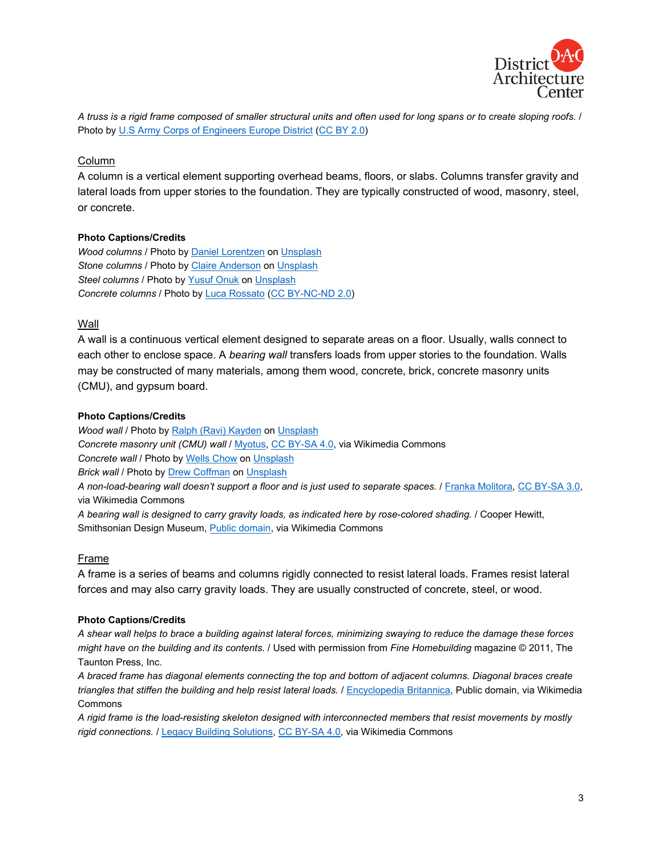

*A truss is a rigid frame composed of smaller structural units and often used for long spans or to create sloping roofs.* / Photo by [U.S Army Corps of Engineers Europe District](https://www.flickr.com/photos/europedistrict/9298704025/in/photolist-faGhKc-auPiFQ-auNKdd-3jV1wU-3jQ1dD-59Fny6-9TAjmE-98jzHJ-9t2J4q-7gyfcC-cZQmio-cD45FS-4nbopD-nEi3AY-qsL9bw-rWSid7-sRxZaJ-pAZXD5-8LQNga-JPzyXc-aUDYsM-729AgP-D6Wf7s-8KdAkr-qW6nuB-8EpYKV-C7sGW) [\(CC BY 2.0\)](https://creativecommons.org/licenses/by/2.0/)

#### Column

A column is a vertical element supporting overhead beams, floors, or slabs. Columns transfer gravity and lateral loads from upper stories to the foundation. They are typically constructed of wood, masonry, steel, or concrete.

#### **Photo Captions/Credits**

*Wood columns* / Photo by [Daniel Lorentzen](https://unsplash.com/@daniel95l?utm_source=unsplash&utm_medium=referral&utm_content=creditCopyText) on [Unsplash](https://unsplash.com/s/photos/wood-column?utm_source=unsplash&utm_medium=referral&utm_content=creditCopyText) *Stone columns* / Photo by [Claire Anderson](https://unsplash.com/@claireandy?utm_source=unsplash&utm_medium=referral&utm_content=creditCopyText) o[n Unsplash](https://unsplash.com/?utm_source=unsplash&utm_medium=referral&utm_content=creditCopyText) **Steel columns** / Photo by [Yusuf Onuk](https://unsplash.com/@onkysf?utm_source=unsplash&utm_medium=referral&utm_content=creditCopyText) on [Unsplash](https://unsplash.com/s/photos/steel-column?utm_source=unsplash&utm_medium=referral&utm_content=creditCopyText) *Concrete columns* / Photo by [Luca Rossato](https://www.flickr.com/photos/funky64/5148827268/in/photolist-8QZ5XW-aTBHnB-6pKdRE-bkx7jz-dagFVK-egx8Mv-a14zVD-AtT8T2-JNzWAD-AxYbab-krtUce-ovj75V-eg5EGg-daRLy7-mEcsV8-e7Ge7-biBYYg-dwTAak-6Hbrkx-cw71Ld-6JL3gp-aozQca-34YVeR-9KoW9F-ebGBgA-e9rBB1-6V9B-s4Lh12-ACWygw-dFPMzF-bLhgVg-dRdHxt-JTv3Gt-56Jjnp-nSqUtm-AC6yqn-kLJat4-BoZopQ-jHqTj8-38M9ps-zdVLza-aaCeCq-aCubxP-L7FZmF-fMWZT-QuEEm-J8S6Pv-AQthyp-dDLaVF-aEwRqr) [\(CC BY-NC-ND 2.0\)](https://creativecommons.org/licenses/by-nc-nd/2.0/)

#### Wall

A wall is a continuous vertical element designed to separate areas on a floor. Usually, walls connect to each other to enclose space. A *bearing wall* transfers loads from upper stories to the foundation. Walls may be constructed of many materials, among them wood, concrete, brick, concrete masonry units (CMU), and gypsum board.

#### **Photo Captions/Credits**

*Wood wall* / Photo by [Ralph \(Ravi\) Kayden](https://unsplash.com/@ralphkayden?utm_source=unsplash&utm_medium=referral&utm_content=creditCopyText) on [Unsplash](https://unsplash.com/s/photos/wood-cabin?utm_source=unsplash&utm_medium=referral&utm_content=creditCopyText) *Concrete masonry unit (CMU) wall* / [Myotus,](https://commons.wikimedia.org/wiki/File:Christie_House_Museum-garage-side.jpg) [CC BY-SA 4.0,](https://creativecommons.org/licenses/by-sa/4.0/) via Wikimedia Commons **Concrete wall / Photo by [Wells Chow](https://unsplash.com/@monsters?utm_source=unsplash&utm_medium=referral&utm_content=creditCopyText) o[n Unsplash](https://unsplash.com/s/photos/concrete-wall?utm_source=unsplash&utm_medium=referral&utm_content=creditCopyText) Brick wall** / Photo by **Drew Coffman** on *Unsplash A non-load-bearing wall doesn't support a floor and is just used to separate spaces.* [/ Franka Molitora,](https://commons.wikimedia.org/wiki/File:Gipswandbauplatten.JPG) [CC BY-SA 3.0,](https://creativecommons.org/licenses/by-sa/3.0/) via Wikimedia Commons

*A bearing wall is designed to carry gravity loads, as indicated here by rose-colored shading.* / Cooper Hewitt, Smithsonian Design Museum, *Public domain*, via Wikimedia Commons

#### Frame

A frame is a series of beams and columns rigidly connected to resist lateral loads. Frames resist lateral forces and may also carry gravity loads. They are usually constructed of concrete, steel, or wood.

#### **Photo Captions/Credits**

*A shear wall helps to brace a building against lateral forces, minimizing swaying to reduce the damage these forces might have on the building and its contents.* / Used with permission from *Fine Homebuilding* magazine © 2011, The Taunton Press, Inc.

*A braced frame has diagonal elements connecting the top and bottom of adjacent columns. Diagonal braces create triangles that stiffen the building and help resist lateral loads.* [/ Encyclopedia Britannica,](https://commons.wikimedia.org/wiki/File:Braced_frame.jpg) Public domain, via Wikimedia **Commons** 

*A rigid frame is the load-resisting skeleton designed with interconnected members that resist movements by mostly rigid connections.* [/ Legacy Building Solutions,](https://commons.wikimedia.org/wiki/File:Wiki_fabric-building-hot-dip-galvanized-HDG-rigid-steel-frame.jpg) [CC BY-SA 4.0,](https://creativecommons.org/licenses/by-sa/4.0/) via Wikimedia Commons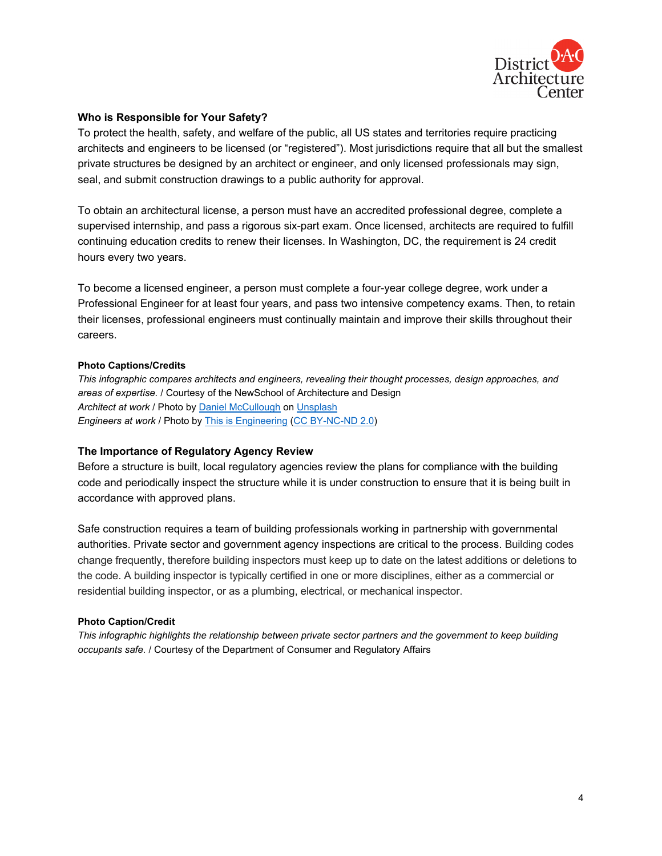

#### **Who is Responsible for Your Safety?**

To protect the health, safety, and welfare of the public, all US states and territories require practicing architects and engineers to be licensed (or "registered"). Most jurisdictions require that all but the smallest private structures be designed by an architect or engineer, and only licensed professionals may sign, seal, and submit construction drawings to a public authority for approval.

To obtain an architectural license, a person must have an accredited professional degree, complete a supervised internship, and pass a rigorous six-part exam. Once licensed, architects are required to fulfill continuing education credits to renew their licenses. In Washington, DC, the requirement is 24 credit hours every two years.

To become a licensed engineer, a person must complete a four-year college degree, work under a Professional Engineer for at least four years, and pass two intensive competency exams. Then, to retain their licenses, professional engineers must continually maintain and improve their skills throughout their careers.

#### **Photo Captions/Credits**

*This infographic compares architects and engineers, revealing their thought processes, design approaches, and areas of expertise.* / Courtesy of the NewSchool of Architecture and Design *Architect at work* / Photo by [Daniel McCullough](https://unsplash.com/@d_mccullough?utm_source=unsplash&utm_medium=referral&utm_content=creditCopyText) o[n Unsplash](https://unsplash.com/s/photos/architect?utm_source=unsplash&utm_medium=referral&utm_content=creditCopyText) *Engineers at work* / Photo b[y This is Engineering](https://www.flickr.com/photos/thisisengineering/49886689557/in/photolist-2j1jjMc-2i1NSyv-2iSgyo3-5boAwp-29puWUb-fjdvh-2jDoKuz-HGPU1S-2ixHekr-fr4jJ-2jX4Akk-23ANQrs-rt12ks-r7H2Nr-2haTK3S-2i1MHpK-2hVU7pv-HNANTq-8LCJEJ-bm1zSF-rt12LC-aCfeoa-5j6X2e-2jD8MMv-2jCeXC4-2cRJmQc-dHH8ui-JHWyW-2haUEes-2jC8WiQ-9NGYZA-bsi26f-GW7dDT-c2T7tE-9b4kFv-o1ynLw-zq2cdL-2haTKmT-fUUVZu-spYkha-21wswny-9NCNYS-Z8Pbio-2kKP5Sp-4uXGNX-fjdoz-fjdth-dHNyeo-8LGAmd-2haUCVf) [\(CC BY-NC-ND 2.0\)](https://creativecommons.org/licenses/by-nc-nd/2.0/)

#### **The Importance of Regulatory Agency Review**

Before a structure is built, local regulatory agencies review the plans for compliance with the building code and periodically inspect the structure while it is under construction to ensure that it is being built in accordance with approved plans.

Safe construction requires a team of building professionals working in partnership with governmental authorities. Private sector and government agency inspections are critical to the process. Building codes change frequently, therefore building inspectors must keep up to date on the latest additions or deletions to the code. A building inspector is typically certified in one or more disciplines, either as a commercial or residential building inspector, or as a plumbing, electrical, or mechanical inspector.

#### **Photo Caption/Credit**

*This infographic highlights the relationship between private sector partners and the government to keep building occupants safe.* / Courtesy of the Department of Consumer and Regulatory Affairs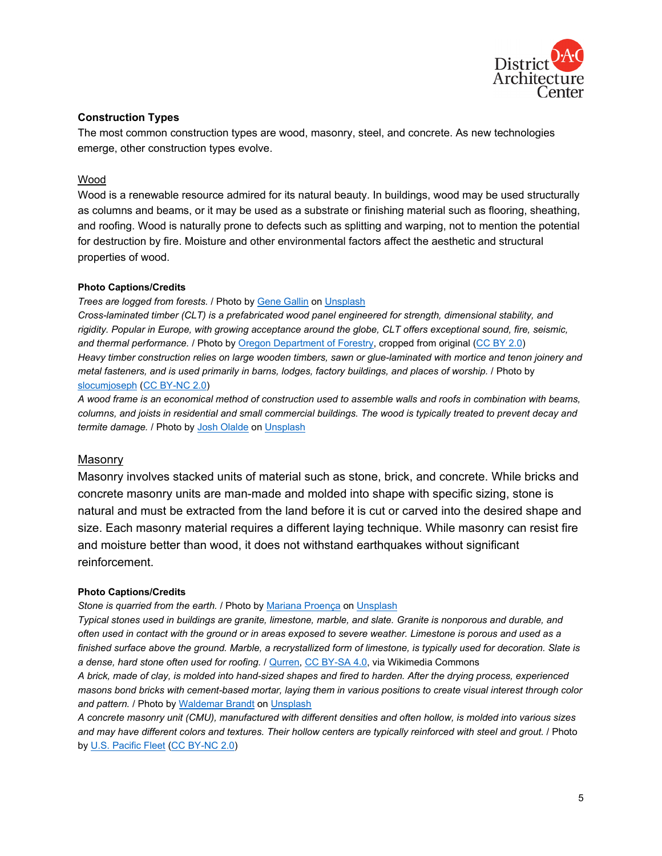

# **Construction Types**

The most common construction types are wood, masonry, steel, and concrete. As new technologies emerge, other construction types evolve.

#### Wood

Wood is a renewable resource admired for its natural beauty. In buildings, wood may be used structurally as columns and beams, or it may be used as a substrate or finishing material such as flooring, sheathing, and roofing. Wood is naturally prone to defects such as splitting and warping, not to mention the potential for destruction by fire. Moisture and other environmental factors affect the aesthetic and structural properties of wood.

#### **Photo Captions/Credits**

#### *Trees are logged from forests.* / Photo by [Gene Gallin](https://unsplash.com/@genefoto?utm_source=unsplash&utm_medium=referral&utm_content=creditCopyText) o[n Unsplash](https://unsplash.com/s/photos/logging-trees?utm_source=unsplash&utm_medium=referral&utm_content=creditCopyText)

*Cross-laminated timber (CLT) is a prefabricated wood panel engineered for strength, dimensional stability, and rigidity. Popular in Europe, with growing acceptance around the globe, CLT offers exceptional sound, fire, seismic, and thermal performance.* / Photo b[y Oregon Department of Forestry,](https://www.flickr.com/photos/oregondepartmentofforestry/14329312300/in/photolist-nQetjC-vogCZU-2kagEMT-2hDfTP7-2mC8HeF-Ns58me-Ns58yi-Ns58Fx-Ns589F-4yphpi-2kTUCdm-exQbFV-exQbER-zuPHNp-rJ3VLn-4ytMGE-d5Sda1-4ytGA3-NxUsxV-2b2aSNu-4ytMxq-nLm9xP-d5SdQw-xVzcVf-QER2L1-8P2g8p-4ytGUW-4ypqmt-4ypmFP-4ytFRG-8P5mLo-ifrcY4-9UmhAF-4ytNEL-4ypiBD-4ypw22-4ytzYL-4ypwcR-4ypuik-4ypuxr-4ypv34-4yprqK-8P2g6Z-4ypyh2-ytwsHH-4ytH5S-4ypvpV-4ytxaN-4ypdZP-4ytAp1) cropped from original [\(CC BY 2.0\)](https://creativecommons.org/licenses/by/2.0/) *Heavy timber construction relies on large wooden timbers, sawn or glue-laminated with mortice and tenon joinery and metal fasteners, and is used primarily in barns, lodges, factory buildings, and places of worship.* / Photo by [slocumjoseph](https://www.flickr.com/photos/slocumjoseph/9432196532/in/photolist-fnutq9-chg6J3-8ycirx-4G9fA2-65HUyY-nHdLDs-dBwnEz-nnVE98-ahGUZA-5Erap-eiDSYR-9Mp6NH-a4nGZ2-bo9J76-ygbXXy-chCxcw-9qpwPr-2jKyrzo-2n1h7Dh-2n1dPPN-2mC8HeF-2mBWSqj-2mbGiJg-2mBF12F-2m9PwbA-2mZSF3p) [\(CC BY-NC 2.0\)](https://creativecommons.org/licenses/by-nc/2.0/)

*A wood frame is an economical method of construction used to assemble walls and roofs in combination with beams, columns, and joists in residential and small commercial buildings. The wood is typically treated to prevent decay and termite damage.* / Photo b[y Josh Olalde](https://unsplash.com/@josholalde?utm_source=unsplash&utm_medium=referral&utm_content=creditCopyText) on [Unsplash](https://unsplash.com/?utm_source=unsplash&utm_medium=referral&utm_content=creditCopyText)

#### Masonry

Masonry involves stacked units of material such as stone, brick, and concrete. While bricks and concrete masonry units are man-made and molded into shape with specific sizing, stone is natural and must be extracted from the land before it is cut or carved into the desired shape and size. Each masonry material requires a different laying technique. While masonry can resist fire and moisture better than wood, it does not withstand earthquakes without significant reinforcement.

#### **Photo Captions/Credits**

*Stone is quarried from the earth.* / Photo b[y Mariana Proença](https://unsplash.com/@marianaproenca?utm_source=unsplash&utm_medium=referral&utm_content=creditCopyText) on [Unsplash](https://unsplash.com/s/photos/stone-quarry?utm_source=unsplash&utm_medium=referral&utm_content=creditCopyText)

*Typical stones used in buildings are granite, limestone, marble, and slate. Granite is nonporous and durable, and often used in contact with the ground or in areas exposed to severe weather. Limestone is porous and used as a finished surface above the ground. Marble, a recrystallized form of limestone, is typically used for decoration. Slate is a dense, hard stone often used for roofing.* / [Qurren,](https://commons.wikimedia.org/wiki/File:Old_Mitsuke_School_stone_wall.jpg) [CC BY-SA 4.0,](https://creativecommons.org/licenses/by-sa/4.0/) via Wikimedia Commons

*A brick, made of clay, is molded into hand-sized shapes and fired to harden. After the drying process, experienced masons bond bricks with cement-based mortar, laying them in various positions to create visual interest through color and pattern.* / Photo b[y Waldemar Brandt](https://unsplash.com/@waldemarbrandt67w?utm_source=unsplash&utm_medium=referral&utm_content=creditCopyText) o[n Unsplash](https://unsplash.com/?utm_source=unsplash&utm_medium=referral&utm_content=creditCopyText)

*A concrete masonry unit (CMU), manufactured with different densities and often hollow, is molded into various sizes and may have different colors and textures. Their hollow centers are typically reinforced with steel and grout.* / Photo by [U.S. Pacific Fleet](https://www.flickr.com/photos/compacflt/49565660143/in/photolist-2ivWXVi-2jQxB8Q-2jQxB6f-p6mp4o-2jQtbMK-2ge7ETE-p6oqAF-oNTLiW-dRfVeu-8nLC41-p6mYdj-5koTdq-6UEAjv-fi4KnY-p68dmr-p6mswq-p4mDFf-PzL3Sx-21DEQzu-p68pfv-p6otCc-oNTHyM-oNUs4q-oNUkpy-p68bKF-oNTYAm-oNT) [\(CC BY-NC 2.0\)](https://creativecommons.org/licenses/by-nc/2.0/)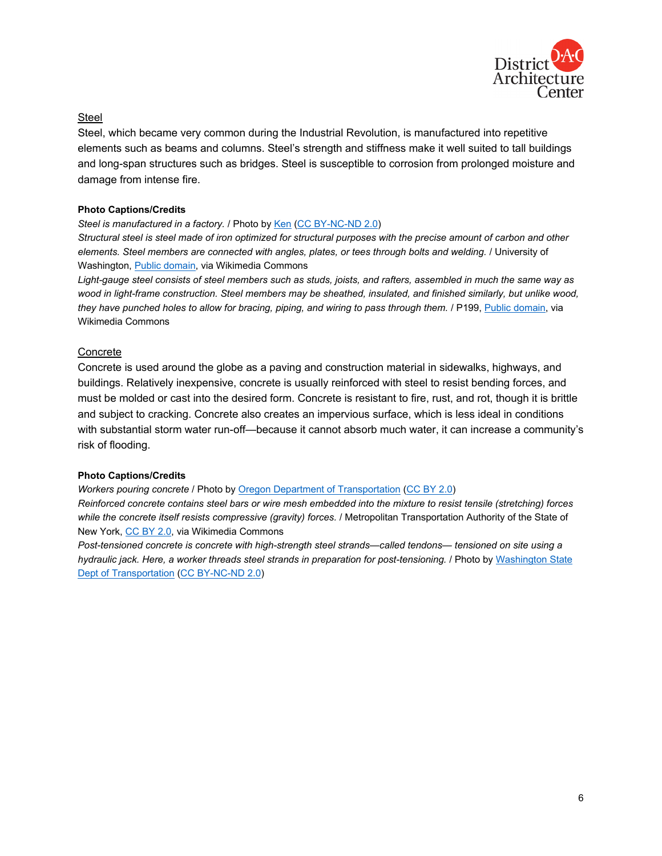

#### Steel

Steel, which became very common during the Industrial Revolution, is manufactured into repetitive elements such as beams and columns. Steel's strength and stiffness make it well suited to tall buildings and long-span structures such as bridges. Steel is susceptible to corrosion from prolonged moisture and damage from intense fire.

#### **Photo Captions/Credits**

#### *Steel is manufactured in a factory.* / Photo b[y Ken](https://www.flickr.com/photos/littledragon/1579318807/in/photolist-3pyqsB-3pDcKJ-3py9Ze-5bnxwX-5rMhtJ-3pDokE-3pDhUj-aTjL1F-3pDjAQ-3pD717-3pyuWM-3pyyMX-aMYddz-3pCSzm-y2AYu-2mhdinB-C14x5X-ssNv8K-2iVWGe2-2kqYL9T-Q2ELxf-2m9iKFs-26cRbE1-2jm8EwE-2m4C6gS-bP4sjX-2mh6mRW-3pCPVu-3pysCc-3pyLMT-3pyF5D-5bnxCv-3pCVLN-3pCAi5-3pCMCs-3py3rX-rvPv6S-sberxC-3pCGPQ-ssPLDM-2jqJUsB-2gcWYaF-F15Muu-FTMHFn-LPn8oX-xxdsZs-qq6F1-c7Fpmd-HdRxqb-2kAWVaq) [\(CC BY-NC-ND 2.0\)](https://creativecommons.org/licenses/by-nc-nd/2.0/)

*Structural steel is steel made of iron optimized for structural purposes with the precise amount of carbon and other elements. Steel members are connected with angles, plates, or tees through bolts and welding.* / University of Washington, [Public domain,](https://commons.wikimedia.org/wiki/File:LC_Smith_Building_construction_showing_structural_steel_skeleton,_ca_1913_(SEATTLE_3151).jpg) via Wikimedia Commons

*Light-gauge steel consists of steel members such as studs, joists, and rafters, assembled in much the same way as wood in light-frame construction. Steel members may be sheathed, insulated, and finished similarly, but unlike wood, they have punched holes to allow for bracing, piping, and wiring to pass through them.* / P199, [Public domain,](https://commons.wikimedia.org/wiki/File:Light_gage_metal_framing.JPG) via Wikimedia Commons

#### Concrete

Concrete is used around the globe as a paving and construction material in sidewalks, highways, and buildings. Relatively inexpensive, concrete is usually reinforced with steel to resist bending forces, and must be molded or cast into the desired form. Concrete is resistant to fire, rust, and rot, though it is brittle and subject to cracking. Concrete also creates an impervious surface, which is less ideal in conditions with substantial storm water run-off—because it cannot absorb much water, it can increase a community's risk of flooding.

#### **Photo Captions/Credits**

*Workers pouring concrete* / Photo b[y Oregon Department of Transportation](https://www.flickr.com/photos/oregondot/49988980472/in/photolist-2jamAiE-5LQWxN-25cwJwz-2iTPwce-2hGf35e-ASM5yB-YPCCR8-fCro2x-BrhVji-2c3cGUS-AtLisY-AQtibM-3vngZ-gnyuis-28xV5E3-AQt17B-9fFUwJ-29t5SJH-AtL6qb-AtKZJm-s8xBXV-7LpGH1-M1ghQu-8kqWBn-AtL5K3-EVPY5n-ASMooe-BoZq9S-2iYaEE8-CTy4F5-Ps4XSU-2htp3oo-243Uxa3-GwAJyq-ooxHTh-voiC8-4mgGfw-g9g93D-729uN6-BridXz-WcKhCm-x9tfJ5-fPXiF6-d26AAd-oieSPf-bv942b-76nioh-bw1DLj-oSQiJV-BACYrS) [\(CC BY 2.0\)](https://creativecommons.org/licenses/by/2.0/)

*Reinforced concrete contains steel bars or wire mesh embedded into the mixture to resist tensile (stretching) forces while the concrete itself resists compressive (gravity) forces.* / Metropolitan Transportation Authority of the State of New York, CC BY 2.0, via Wikimedia Commons

*Post-tensioned concrete is concrete with high-strength steel strands—called tendons— tensioned on site using a hydraulic jack. Here, a worker threads steel strands in preparation for post-tensioning.* / Photo b[y Washington State](https://www.flickr.com/photos/wsdot/8621448853/in/photolist-e8RbnT-M1ghQu-FtFUZX-e8Rb8V-EEwuur-EEaP6C-EEb67q-EEbKzN-q9xBfX-pSLge-oHJekT-oGL663-q9z5zT-qqZ9m4-qoH2Fq-oqRNGj-L7bQ8Z-q9xC7g-ptZRmj-q9xzJv-qoH34j-q9z3DP-FzNAAY-kAWbau-fAtCdQ-fAeoMR-EEw3YB-28cHnZ4-)  [Dept of Transportation](https://www.flickr.com/photos/wsdot/8621448853/in/photolist-e8RbnT-M1ghQu-FtFUZX-e8Rb8V-EEwuur-EEaP6C-EEb67q-EEbKzN-q9xBfX-pSLge-oHJekT-oGL663-q9z5zT-qqZ9m4-qoH2Fq-oqRNGj-L7bQ8Z-q9xC7g-ptZRmj-q9xzJv-qoH34j-q9z3DP-FzNAAY-kAWbau-fAtCdQ-fAeoMR-EEw3YB-28cHnZ4-) [\(CC BY-NC-ND 2.0\)](https://creativecommons.org/licenses/by/2.0/)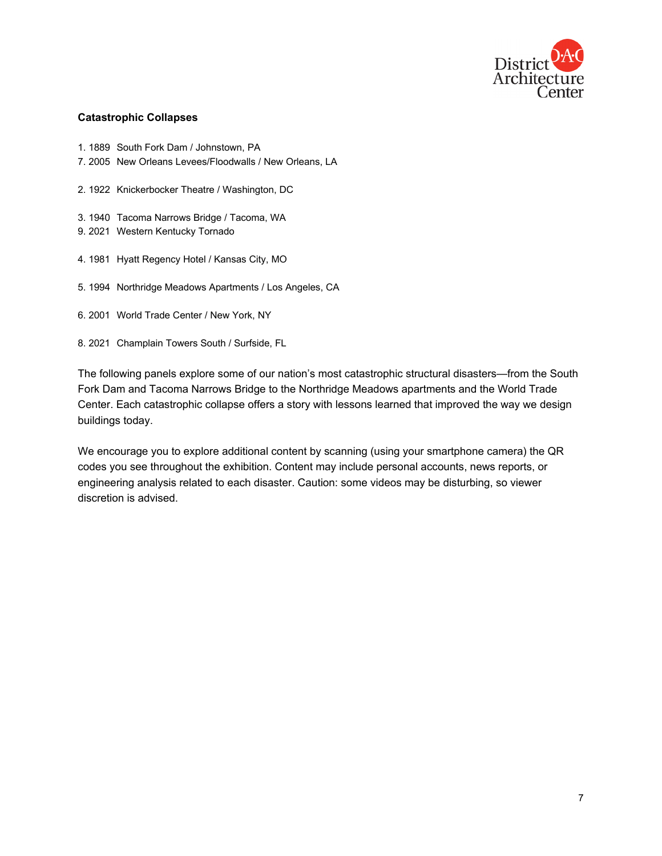

#### **Catastrophic Collapses**

- 1. 1889 South Fork Dam / Johnstown, PA
- 7. 2005 New Orleans Levees/Floodwalls / New Orleans, LA
- 2. 1922 Knickerbocker Theatre / Washington, DC
- 3. 1940 Tacoma Narrows Bridge / Tacoma, WA
- 9. 2021 Western Kentucky Tornado
- 4. 1981 Hyatt Regency Hotel / Kansas City, MO
- 5. 1994 Northridge Meadows Apartments / Los Angeles, CA
- 6. 2001 World Trade Center / New York, NY
- 8. 2021 Champlain Towers South / Surfside, FL

The following panels explore some of our nation's most catastrophic structural disasters—from the South Fork Dam and Tacoma Narrows Bridge to the Northridge Meadows apartments and the World Trade Center. Each catastrophic collapse offers a story with lessons learned that improved the way we design buildings today.

We encourage you to explore additional content by scanning (using your smartphone camera) the QR codes you see throughout the exhibition. Content may include personal accounts, news reports, or engineering analysis related to each disaster. Caution: some videos may be disturbing, so viewer discretion is advised.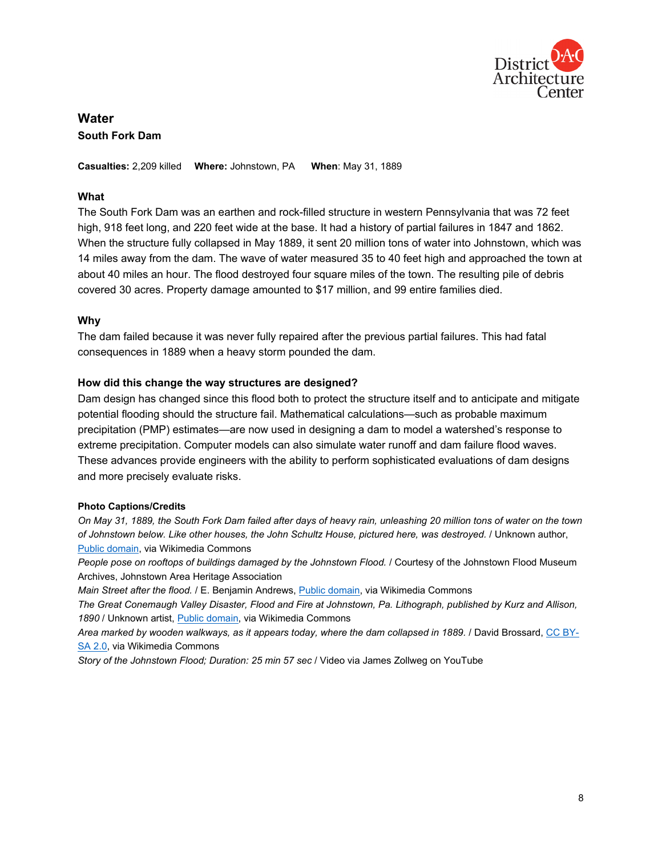

# **Water South Fork Dam**

**Casualties:** 2,209 killed **Where:** Johnstown, PA **When**: May 31, 1889

# **What**

The South Fork Dam was an earthen and rock-filled structure in western Pennsylvania that was 72 feet high, 918 feet long, and 220 feet wide at the base. It had a history of partial failures in 1847 and 1862. When the structure fully collapsed in May 1889, it sent 20 million tons of water into Johnstown, which was 14 miles away from the dam. The wave of water measured 35 to 40 feet high and approached the town at about 40 miles an hour. The flood destroyed four square miles of the town. The resulting pile of debris covered 30 acres. Property damage amounted to \$17 million, and 99 entire families died.

#### **Why**

The dam failed because it was never fully repaired after the previous partial failures. This had fatal consequences in 1889 when a heavy storm pounded the dam.

#### **How did this change the way structures are designed?**

Dam design has changed since this flood both to protect the structure itself and to anticipate and mitigate potential flooding should the structure fail. Mathematical calculations—such as probable maximum precipitation (PMP) estimates—are now used in designing a dam to model a watershed's response to extreme precipitation. Computer models can also simulate water runoff and dam failure flood waves. These advances provide engineers with the ability to perform sophisticated evaluations of dam designs and more precisely evaluate risks.

#### **Photo Captions/Credits**

*On May 31, 1889, the South Fork Dam failed after days of heavy rain, unleashing 20 million tons of water on the town of Johnstown below. Like other houses, the John Schultz House, pictured here, was destroyed.* / Unknown author, [Public domain,](https://commons.wikimedia.org/wiki/File:Johnstown_Tree_in_House.jpg) via Wikimedia Commons

*People pose on rooftops of buildings damaged by the Johnstown Flood.* / Courtesy of the Johnstown Flood Museum Archives, Johnstown Area Heritage Association

*Main Street after the flood.* / E. Benjamin Andrews, [Public domain,](https://commons.wikimedia.org/wiki/File:Johnstown_Main_Street_1889_flood.jpg) via Wikimedia Commons

*The Great Conemaugh Valley Disaster, Flood and Fire at Johnstown, Pa. Lithograph, published by Kurz and Allison, 1890* / Unknown artist, [Public domain,](https://commons.wikimedia.org/wiki/File:The_Great_Conemaugh_Valley_Disaster.jpg) via Wikimedia Commons

*Area marked by wooden walkways, as it appears today, where the dam collapsed in 1889.* / David Brossard, [CC BY-](https://creativecommons.org/licenses/by-sa/2.0/)[SA 2.0,](https://creativecommons.org/licenses/by-sa/2.0/) via Wikimedia Commons

*Story of the Johnstown Flood; Duration: 25 min 57 sec* / Video via James Zollweg on YouTube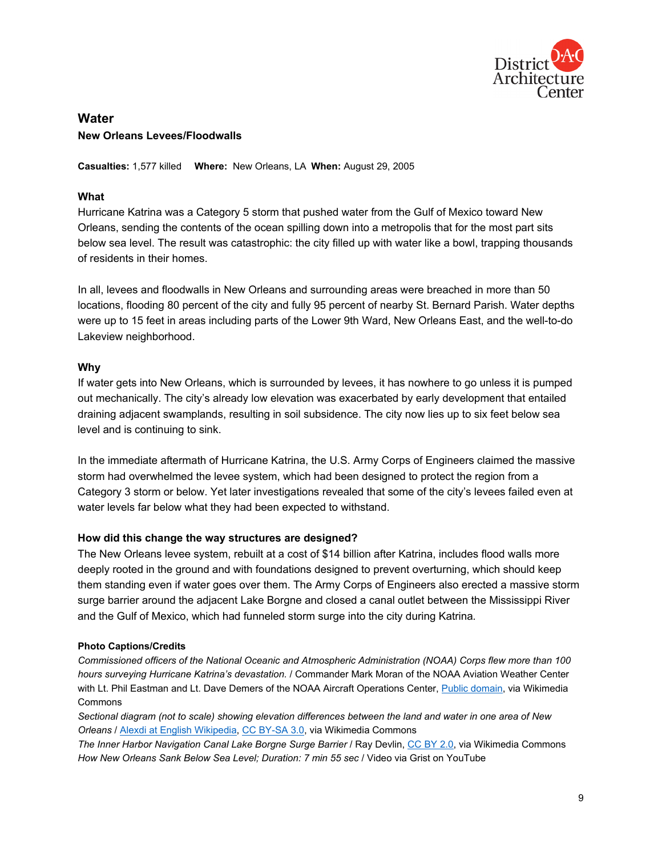

# **Water New Orleans Levees/Floodwalls**

**Casualties:** 1,577 killed **Where:** New Orleans, LA **When:** August 29, 2005

# **What**

Hurricane Katrina was a Category 5 storm that pushed water from the Gulf of Mexico toward New Orleans, sending the contents of the ocean spilling down into a metropolis that for the most part sits below sea level. The result was catastrophic: the city filled up with water like a bowl, trapping thousands of residents in their homes.

In all, levees and floodwalls in New Orleans and surrounding areas were breached in more than 50 locations, flooding 80 percent of the city and fully 95 percent of nearby St. Bernard Parish. Water depths were up to 15 feet in areas including parts of the Lower 9th Ward, New Orleans East, and the well-to-do Lakeview neighborhood.

# **Why**

If water gets into New Orleans, which is surrounded by levees, it has nowhere to go unless it is pumped out mechanically. The city's already low elevation was exacerbated by early development that entailed draining adjacent swamplands, resulting in soil subsidence. The city now lies up to six feet below sea level and is continuing to sink.

In the immediate aftermath of Hurricane Katrina, the U.S. Army Corps of Engineers claimed the massive storm had overwhelmed the levee system, which had been designed to protect the region from a Category 3 storm or below. Yet later investigations revealed that some of the city's levees failed even at water levels far below what they had been expected to withstand.

# **How did this change the way structures are designed?**

The New Orleans levee system, rebuilt at a cost of \$14 billion after Katrina, includes flood walls more deeply rooted in the ground and with foundations designed to prevent overturning, which should keep them standing even if water goes over them. The Army Corps of Engineers also erected a massive storm surge barrier around the adjacent Lake Borgne and closed a canal outlet between the Mississippi River and the Gulf of Mexico, which had funneled storm surge into the city during Katrina*.*

#### **Photo Captions/Credits**

*Commissioned officers of the National Oceanic and Atmospheric Administration (NOAA) Corps flew more than 100 hours surveying Hurricane Katrina's devastation.* / Commander Mark Moran of the NOAA Aviation Weather Center with Lt. Phil Eastman and Lt. Dave Demers of the NOAA Aircraft Operations Center, [Public domain,](https://commons.wikimedia.org/wiki/File:Katrina-new-orleans-flooding3-2005.jpg) via Wikimedia Commons

*Sectional diagram (not to scale) showing elevation differences between the land and water in one area of New Orleans* / [Alexdi at English Wikipedia,](https://commons.wikimedia.org/wiki/File:New_Orleans_Elevations.jpg) [CC BY-SA 3.0,](https://creativecommons.org/licenses/by-sa/3.0/) via Wikimedia Commons

*The Inner Harbor Navigation Canal Lake Borgne Surge Barrier* / Ray Devlin, [CC BY 2.0,](https://creativecommons.org/licenses/by/2.0) via Wikimedia Commons *How New Orleans Sank Below Sea Level; Duration: 7 min 55 sec* / Video via Grist on YouTube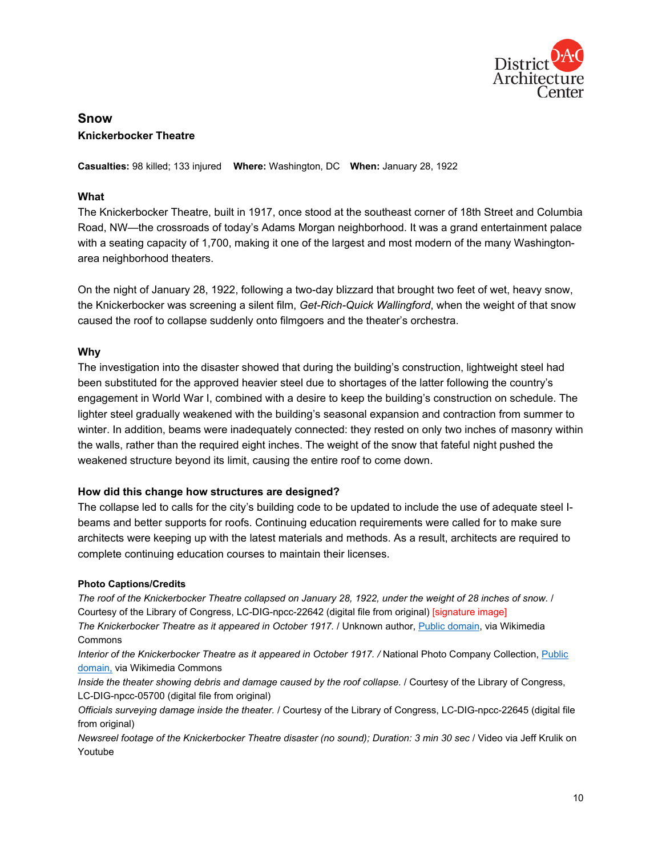

# **Snow Knickerbocker Theatre**

**Casualties:** 98 killed; 133 injured **Where:** Washington, DC **When:** January 28, 1922

# **What**

The Knickerbocker Theatre, built in 1917, once stood at the southeast corner of 18th Street and Columbia Road, NW—the crossroads of today's Adams Morgan neighborhood. It was a grand entertainment palace with a seating capacity of 1,700, making it one of the largest and most modern of the many Washingtonarea neighborhood theaters.

On the night of January 28, 1922, following a two-day blizzard that brought two feet of wet, heavy snow, the Knickerbocker was screening a silent film, *Get-Rich-Quick Wallingford*, when the weight of that snow caused the roof to collapse suddenly onto filmgoers and the theater's orchestra.

#### **Why**

The investigation into the disaster showed that during the building's construction, lightweight steel had been substituted for the approved heavier steel due to shortages of the latter following the country's engagement in World War I, combined with a desire to keep the building's construction on schedule. The lighter steel gradually weakened with the building's seasonal expansion and contraction from summer to winter. In addition, beams were inadequately connected: they rested on only two inches of masonry within the walls, rather than the required eight inches. The weight of the snow that fateful night pushed the weakened structure beyond its limit, causing the entire roof to come down.

#### **How did this change how structures are designed?**

The collapse led to calls for the city's building code to be updated to include the use of adequate steel Ibeams and better supports for roofs. Continuing education requirements were called for to make sure architects were keeping up with the latest materials and methods. As a result, architects are required to complete continuing education courses to maintain their licenses.

#### **Photo Captions/Credits**

*The roof of the Knickerbocker Theatre collapsed on January 28, 1922, under the weight of 28 inches of snow.* / Courtesy of the Library of Congress, LC-DIG-npcc-22642 (digital file from original) [signature image] *The Knickerbocker Theatre as it appeared in October 1917.* / Unknown author, [Public domain,](https://commons.wikimedia.org/wiki/File:Knickerbocker_Theater.jpg) via Wikimedia Commons

*Interior of the Knickerbocker Theatre as it appeared in October 1917. /* National Photo Company Collection, [Public](https://commons.wikimedia.org/wiki/File:Knickerbocker_Theatre,_Wash.,_D.C.,_Oct.,_1917_LCCN2016852564.tif)  [domain,](https://commons.wikimedia.org/wiki/File:Knickerbocker_Theatre,_Wash.,_D.C.,_Oct.,_1917_LCCN2016852564.tif) via Wikimedia Commons

*Inside the theater showing debris and damage caused by the roof collapse.* / Courtesy of the Library of Congress, LC-DIG-npcc-05700 (digital file from original)

*Officials surveying damage inside the theater.* / Courtesy of the Library of Congress, LC-DIG-npcc-22645 (digital file from original)

*Newsreel footage of the Knickerbocker Theatre disaster (no sound); Duration: 3 min 30 sec* / Video via Jeff Krulik on Youtube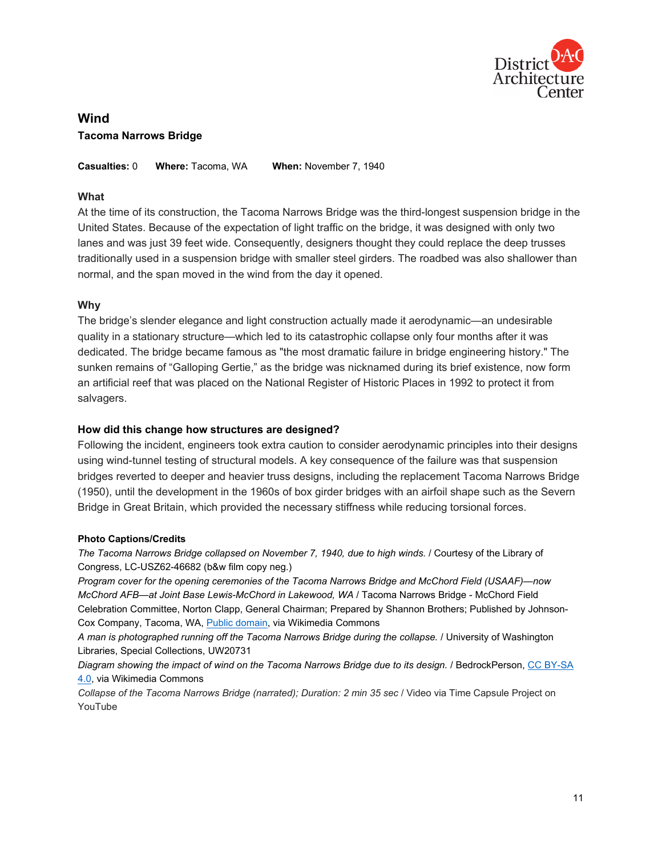

# **Wind Tacoma Narrows Bridge**

**Casualties:** 0 **Where:** Tacoma, WA **When:** November 7, 1940

## **What**

At the time of its construction, the Tacoma Narrows Bridge was the third-longest suspension bridge in the United States. Because of the expectation of light traffic on the bridge, it was designed with only two lanes and was just 39 feet wide. Consequently, designers thought they could replace the deep trusses traditionally used in a suspension bridge with smaller steel girders. The roadbed was also shallower than normal, and the span moved in the wind from the day it opened.

# **Why**

The bridge's slender elegance and light construction actually made it aerodynamic—an undesirable quality in a stationary structure—which led to its catastrophic collapse only four months after it was dedicated. The bridge became famous as "the most dramatic failure in bridge engineering history." The sunken remains of "Galloping Gertie," as the bridge was nicknamed during its brief existence, now form an artificial reef that was placed on the National Register of Historic Places in 1992 to protect it from salvagers.

#### **How did this change how structures are designed?**

Following the incident, engineers took extra caution to consider aerodynamic principles into their designs using wind-tunnel testing of structural models. A key consequence of the failure was that suspension bridges reverted to deeper and heavier truss designs, including the replacement Tacoma Narrows Bridge (1950), until the development in the 1960s of box girder bridges with an airfoil shape such as the Severn Bridge in Great Britain, which provided the necessary stiffness while reducing torsional forces.

#### **Photo Captions/Credits**

*The Tacoma Narrows Bridge collapsed on November 7, 1940, due to high winds. / Courtesy of the Library of* Congress, LC-USZ62-46682 (b&w film copy neg.)

*Program cover for the opening ceremonies of the Tacoma Narrows Bridge and McChord Field (USAAF)—now McChord AFB—at Joint Base Lewis-McChord in Lakewood, WA* / Tacoma Narrows Bridge - McChord Field Celebration Committee, Norton Clapp, General Chairman; Prepared by Shannon Brothers; Published by Johnson-Cox Company, Tacoma, WA, [Public domain,](https://commons.wikimedia.org/wiki/File:Tacoma_Narrows_Bridge_opening_program_June_30,_1940.jpg) via Wikimedia Commons

*A man is photographed running off the Tacoma Narrows Bridge during the collapse.* / University of Washington Libraries, Special Collections, UW20731

*Diagram showing the impact of wind on the Tacoma Narrows Bridge due to its design.* / BedrockPerson, [CC BY-SA](https://creativecommons.org/licenses/by-sa/4.0/)  [4.0,](https://creativecommons.org/licenses/by-sa/4.0/) via Wikimedia Commons

*Collapse of the Tacoma Narrows Bridge (narrated); Duration: 2 min 35 sec* / Video via Time Capsule Project on YouTube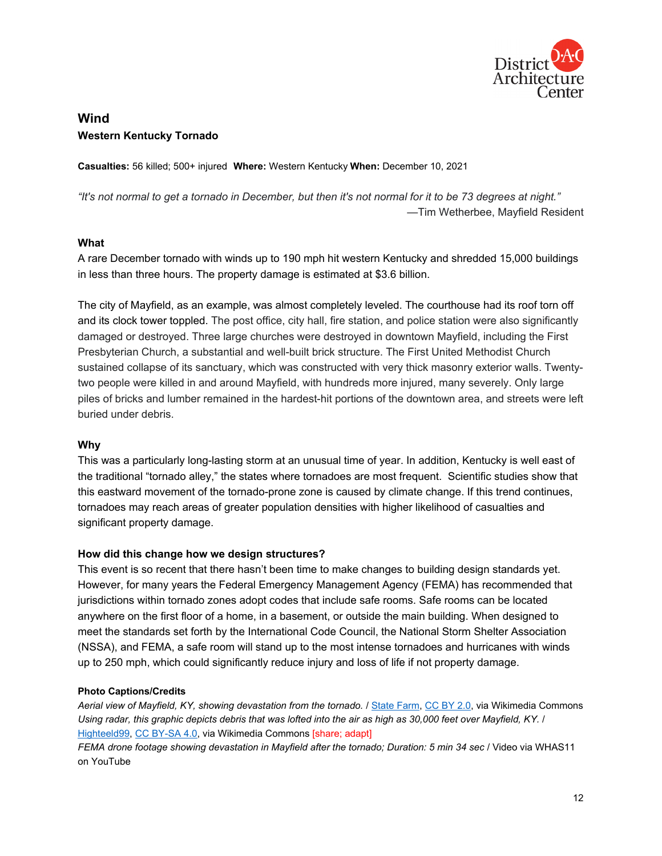

# **Wind Western Kentucky Tornado**

**Casualties:** 56 killed; 500+ injured **Where:** Western Kentucky **When:** December 10, 2021

*"It's not normal to get a tornado in December, but then it's not normal for it to be 73 degrees at night."* —Tim Wetherbee, Mayfield Resident

#### **What**

A rare December tornado with winds up to 190 mph hit western Kentucky and shredded 15,000 buildings in less than three hours. The property damage is estimated at \$3.6 billion.

The city of Mayfield, as an example, was almost completely leveled. The courthouse had its roof torn off and its clock tower toppled. The post office, city hall, fire station, and police station were also significantly damaged or destroyed. Three large churches were destroyed in downtown Mayfield, including the First Presbyterian Church, a substantial and well-built brick structure. The First United Methodist Church sustained collapse of its sanctuary, which was constructed with very thick masonry exterior walls. Twentytwo people were killed in and around Mayfield, with hundreds more injured, many severely. Only large piles of bricks and lumber remained in the hardest-hit portions of the downtown area, and streets were left buried under debris.

# **Why**

This was a particularly long-lasting storm at an unusual time of year. In addition, Kentucky is well east of the traditional "tornado alley," the states where tornadoes are most frequent. Scientific studies show that this eastward movement of the tornado-prone zone is caused by climate change. If this trend continues, tornadoes may reach areas of greater population densities with higher likelihood of casualties and significant property damage.

#### **How did this change how we design structures?**

This event is so recent that there hasn't been time to make changes to building design standards yet. However, for many years the Federal Emergency Management Agency (FEMA) has recommended that jurisdictions within tornado zones adopt codes that include safe rooms. Safe rooms can be located anywhere on the first floor of a home, in a basement, or outside the main building. When designed to meet the standards set forth by the International Code Council, the National Storm Shelter Association (NSSA), and FEMA, a safe room will stand up to the most intense tornadoes and hurricanes with winds up to 250 mph, which could significantly reduce injury and loss of life if not property damage.

# **Photo Captions/Credits**

*Aerial view of Mayfield, KY, showing devastation from the tornado.* [/ State Farm,](https://commons.wikimedia.org/wiki/File:Mayfield_KY_State_Farm_CRU_-23.jpg) [CC BY](https://creativecommons.org/licenses/by/2.0) 2.0, via Wikimedia Commons *Using radar, this graphic depicts debris that was lofted into the air as high as 30,000 feet over Mayfield, KY.* / [Highteeld99,](https://commons.wikimedia.org/wiki/File:Tornadic_Debris_lofted_over_30,000_feet.jpg) [CC BY-SA 4.0,](https://creativecommons.org/licenses/by-sa/4.0/) via Wikimedia Commons [share; adapt]

*FEMA drone footage showing devastation in Mayfield after the tornado; Duration: 5 min 34 sec* / Video via WHAS11 on YouTube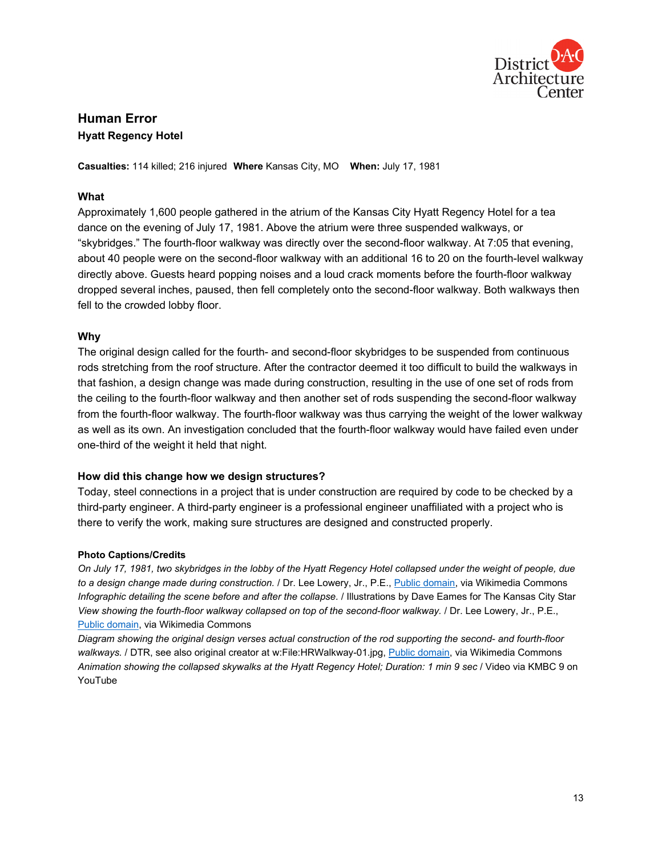

# **Human Error Hyatt Regency Hotel**

**Casualties:** 114 killed; 216 injured **Where** Kansas City, MO **When:** July 17, 1981

# **What**

Approximately 1,600 people gathered in the atrium of the Kansas City Hyatt Regency Hotel for a tea dance on the evening of July 17, 1981. Above the atrium were three suspended walkways, or "skybridges." The fourth-floor walkway was directly over the second-floor walkway. At 7:05 that evening, about 40 people were on the second-floor walkway with an additional 16 to 20 on the fourth-level walkway directly above. Guests heard popping noises and a loud crack moments before the fourth-floor walkway dropped several inches, paused, then fell completely onto the second-floor walkway. Both walkways then fell to the crowded lobby floor.

# **Why**

The original design called for the fourth- and second-floor skybridges to be suspended from continuous rods stretching from the roof structure. After the contractor deemed it too difficult to build the walkways in that fashion, a design change was made during construction, resulting in the use of one set of rods from the ceiling to the fourth-floor walkway and then another set of rods suspending the second-floor walkway from the fourth-floor walkway. The fourth-floor walkway was thus carrying the weight of the lower walkway as well as its own. An investigation concluded that the fourth-floor walkway would have failed even under one-third of the weight it held that night.

# **How did this change how we design structures?**

Today, steel connections in a project that is under construction are required by code to be checked by a third-party engineer. A third-party engineer is a professional engineer unaffiliated with a project who is there to verify the work, making sure structures are designed and constructed properly.

#### **Photo Captions/Credits**

*On July 17, 1981, two skybridges in the lobby of the Hyatt Regency Hotel collapsed under the weight of people, due to a design change made during construction.* / Dr. Lee Lowery, Jr., P.E.[, Public domain,](https://commons.wikimedia.org/wiki/File:Hyatt_Kansas_City_Collapse.gif) via Wikimedia Commons *Infographic detailing the scene before and after the collapse.* / Illustrations by Dave Eames for The Kansas City Star *View showing the fourth-floor walkway collapsed on top of the second-floor walkway.* / Dr. Lee Lowery, Jr., P.E., [Public domain,](https://commons.wikimedia.org/wiki/File:Hyatt_Regency_collapse_floor_view.PNG) via Wikimedia Commons

*Diagram showing the original design verses actual construction of the rod supporting the second- and fourth-floor* walkways. / DTR, see also original creator at w:File:HRWalkway-01.jpg, [Public domain,](https://commons.wikimedia.org/wiki/File:HRWalkway.svg) via Wikimedia Commons *Animation showing the collapsed skywalks at the Hyatt Regency Hotel; Duration: 1 min 9 sec* / Video via KMBC 9 on YouTube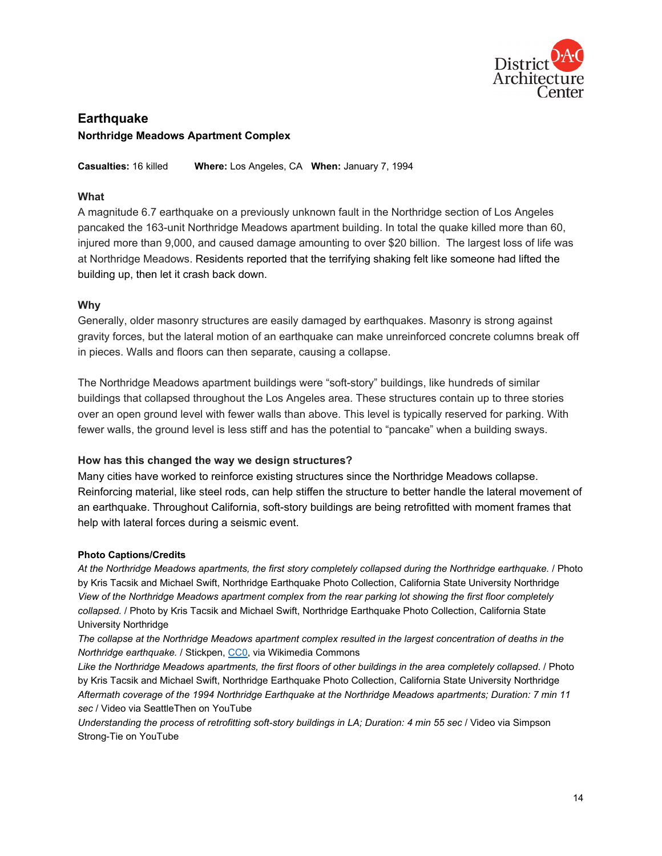

# **Earthquake Northridge Meadows Apartment Complex**

**Casualties:** 16 killed **Where:** Los Angeles, CA **When:** January 7, 1994

## **What**

A magnitude 6.7 earthquake on a previously unknown fault in the Northridge section of Los Angeles pancaked the 163-unit Northridge Meadows apartment building. In total the quake killed more than 60, injured more than 9,000, and caused damage amounting to over \$20 billion. The largest loss of life was at Northridge Meadows. Residents reported that the terrifying shaking felt like someone had lifted the building up, then let it crash back down.

#### **Why**

Generally, older masonry structures are easily damaged by earthquakes. Masonry is strong against gravity forces, but the lateral motion of an earthquake can make unreinforced concrete columns break off in pieces. Walls and floors can then separate, causing a collapse.

The Northridge Meadows apartment buildings were "soft-story" buildings, like hundreds of similar buildings that collapsed throughout the Los Angeles area. These structures contain up to three stories over an open ground level with fewer walls than above. This level is typically reserved for parking. With fewer walls, the ground level is less stiff and has the potential to "pancake" when a building sways.

#### **How has this changed the way we design structures?**

Many cities have worked to reinforce existing structures since the Northridge Meadows collapse. Reinforcing material, like steel rods, can help stiffen the structure to better handle the lateral movement of an earthquake. Throughout California, soft-story buildings are being retrofitted with moment frames that help with lateral forces during a seismic event.

#### **Photo Captions/Credits**

*At the Northridge Meadows apartments, the first story completely collapsed during the Northridge earthquake.* / Photo by Kris Tacsik and Michael Swift, Northridge Earthquake Photo Collection, California State University Northridge *View of the Northridge Meadows apartment complex from the rear parking lot showing the first floor completely collapsed.* / Photo by Kris Tacsik and Michael Swift, Northridge Earthquake Photo Collection, California State University Northridge

*The collapse at the Northridge Meadows apartment complex resulted in the largest concentration of deaths in the Northridge earthquake. / Stickpen, [CC0,](https://creativecommons.org/share-your-work/public-domain/cc0/) via Wikimedia Commons* 

*Like the Northridge Meadows apartments, the first floors of other buildings in the area completely collapsed*. / Photo by Kris Tacsik and Michael Swift, Northridge Earthquake Photo Collection, California State University Northridge *Aftermath coverage of the 1994 Northridge Earthquake at the Northridge Meadows apartments; Duration: 7 min 11 sec* / Video via SeattleThen on YouTube

*Understanding the process of retrofitting soft-story buildings in LA; Duration: 4 min 55 sec* / Video via Simpson Strong-Tie on YouTube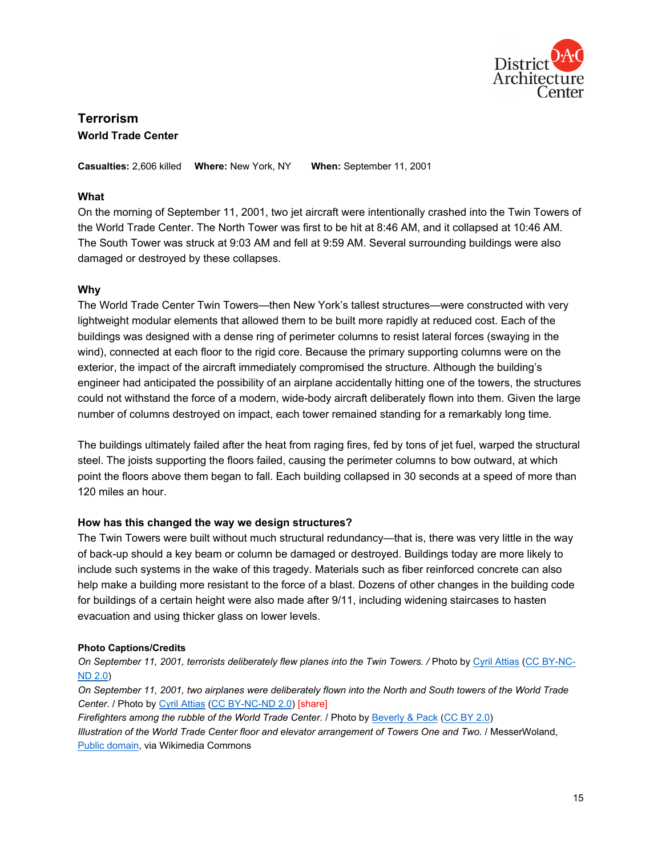

# **Terrorism World Trade Center**

**Casualties:** 2,606 killed **Where:** New York, NY **When:** September 11, 2001

# **What**

On the morning of September 11, 2001, two jet aircraft were intentionally crashed into the Twin Towers of the World Trade Center. The North Tower was first to be hit at 8:46 AM, and it collapsed at 10:46 AM. The South Tower was struck at 9:03 AM and fell at 9:59 AM. Several surrounding buildings were also damaged or destroyed by these collapses.

# **Why**

The World Trade Center Twin Towers—then New York's tallest structures—were constructed with very lightweight modular elements that allowed them to be built more rapidly at reduced cost. Each of the buildings was designed with a dense ring of perimeter columns to resist lateral forces (swaying in the wind), connected at each floor to the rigid core. Because the primary supporting columns were on the exterior, the impact of the aircraft immediately compromised the structure. Although the building's engineer had anticipated the possibility of an airplane accidentally hitting one of the towers, the structures could not withstand the force of a modern, wide-body aircraft deliberately flown into them. Given the large number of columns destroyed on impact, each tower remained standing for a remarkably long time.

The buildings ultimately failed after the heat from raging fires, fed by tons of jet fuel, warped the structural steel. The joists supporting the floors failed, causing the perimeter columns to bow outward, at which point the floors above them began to fall. Each building collapsed in 30 seconds at a speed of more than 120 miles an hour.

# **How has this changed the way we design structures?**

The Twin Towers were built without much structural redundancy—that is, there was very little in the way of back-up should a key beam or column be damaged or destroyed. Buildings today are more likely to include such systems in the wake of this tragedy. Materials such as fiber reinforced concrete can also help make a building more resistant to the force of a blast. Dozens of other changes in the building code for buildings of a certain height were also made after 9/11, including widening staircases to hasten evacuation and using thicker glass on lower levels.

# **Photo Captions/Credits**

*On September 11, 2001, terrorists deliberately flew planes into the Twin Towers. /* Photo b[y Cyril Attias](https://www.flickr.com/photos/58891361@N00/6113249083) [\(CC BY-NC-](https://creativecommons.org/licenses/by-nc-nd/2.0/)[ND 2.0\)](https://creativecommons.org/licenses/by-nc-nd/2.0/)

*On September 11, 2001, two airplanes were deliberately flown into the North and South towers of the World Trade Center.* / Photo by [Cyril Attias](https://www.flickr.com/photos/58891361@N00/6113249955) [\(CC BY-NC-ND 2.0\)](https://creativecommons.org/licenses/by-nc-nd/2.0/) [share]

*Firefighters among the rubble of the World Trade Center.* / Photo by [Beverly & Pack](https://www.flickr.com/photos/10101046@N06/4316945001) [\(CC BY 2.0\)](https://creativecommons.org/licenses/by/2.0/)

*Illustration of the World Trade Center floor and elevator arrangement of Towers One and Two.* / MesserWoland, [Public domain,](https://commons.wikimedia.org/wiki/File:World_Trade_Center_Building_Design_with_Floor_and_Elevator_Arrangement.svg) via Wikimedia Commons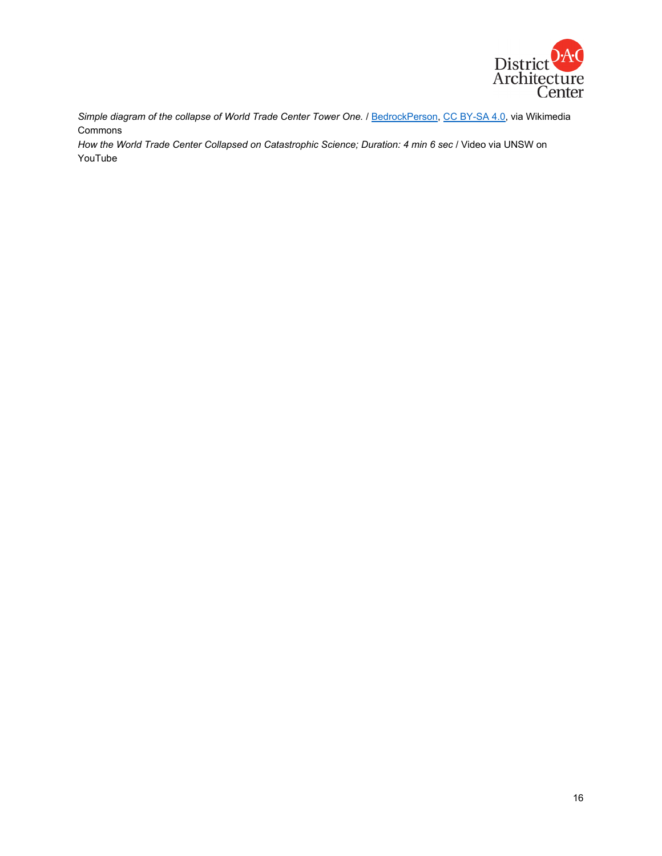

*Simple diagram of the collapse of World Trade Center Tower One.* [/ BedrockPerson,](https://commons.wikimedia.org/wiki/File:NorthWTCcollapse.png) [CC BY-SA 4.0,](https://creativecommons.org/licenses/by-sa/4.0/) via Wikimedia Commons

*How the World Trade Center Collapsed on Catastrophic Science; Duration: 4 min 6 sec* / Video via UNSW on YouTube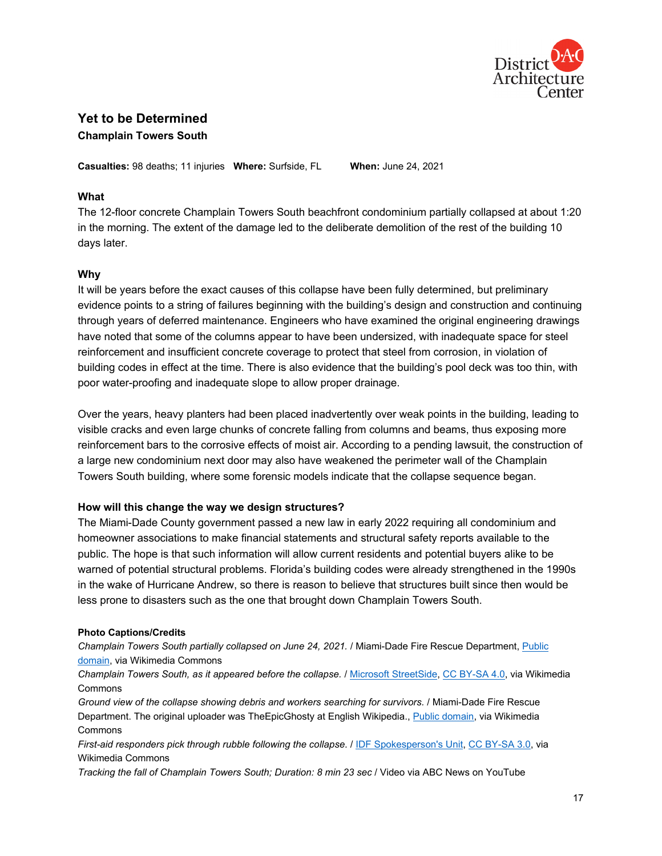

# **Yet to be Determined**

**Champlain Towers South**

**Casualties:** 98 deaths; 11 injuries **Where:** Surfside, FL **When:** June 24, 2021

# **What**

The 12-floor concrete Champlain Towers South beachfront condominium partially collapsed at about 1:20 in the morning. The extent of the damage led to the deliberate demolition of the rest of the building 10 days later.

# **Why**

It will be years before the exact causes of this collapse have been fully determined, but preliminary evidence points to a string of failures beginning with the building's design and construction and continuing through years of deferred maintenance. Engineers who have examined the original engineering drawings have noted that some of the columns appear to have been undersized, with inadequate space for steel reinforcement and insufficient concrete coverage to protect that steel from corrosion, in violation of building codes in effect at the time. There is also evidence that the building's pool deck was too thin, with poor water-proofing and inadequate slope to allow proper drainage.

Over the years, heavy planters had been placed inadvertently over weak points in the building, leading to visible cracks and even large chunks of concrete falling from columns and beams, thus exposing more reinforcement bars to the corrosive effects of moist air. According to a pending lawsuit, the construction of a large new condominium next door may also have weakened the perimeter wall of the Champlain Towers South building, where some forensic models indicate that the collapse sequence began.

# **How will this change the way we design structures?**

The Miami-Dade County government passed a new law in early 2022 requiring all condominium and homeowner associations to make financial statements and structural safety reports available to the public. The hope is that such information will allow current residents and potential buyers alike to be warned of potential structural problems. Florida's building codes were already strengthened in the 1990s in the wake of Hurricane Andrew, so there is reason to believe that structures built since then would be less prone to disasters such as the one that brought down Champlain Towers South.

#### **Photo Captions/Credits**

*Champlain Towers South partially collapsed on June 24, 2021.* / Miami-Dade Fire Rescue Department, [Public](https://commons.wikimedia.org/wiki/File:Surfside_condominium_collapse_photo_from_Miami-Dade_Fire_Rescue_4.jpg)  [domain,](https://commons.wikimedia.org/wiki/File:Surfside_condominium_collapse_photo_from_Miami-Dade_Fire_Rescue_4.jpg) via Wikimedia Commons

*Champlain Towers South, as it appeared before the collapse.* [/ Microsoft StreetSide,](https://commons.wikimedia.org/wiki/File:Champlain_Towers_South_(87th_Terrace_view,_Surfside,_Miami,_FL).png) [CC BY-SA 4.0,](https://creativecommons.org/licenses/by-sa/4.0/) via Wikimedia Commons

*Ground view of the collapse showing debris and workers searching for survivors.* / Miami-Dade Fire Rescue Department. The original uploader was TheEpicGhosty at English Wikipedia., [Public domain,](https://commons.wikimedia.org/wiki/File:Surfside_condominium_collapse_photo_from_Miami-Dade_Fire_Rescue_6.jpg) via Wikimedia Commons

*First-aid responders pick through rubble following the collapse*. / [IDF Spokesperson's Unit,](https://commons.wikimedia.org/wiki/File:IDF_Aid_Mission_to_Surfside_condominium_building_collapse,_June_2021._III.jpg) [CC BY-SA 3.0,](https://creativecommons.org/licenses/by-sa/3.0/) via Wikimedia Commons

*Tracking the fall of Champlain Towers South; Duration: 8 min 23 sec* / Video via ABC News on YouTube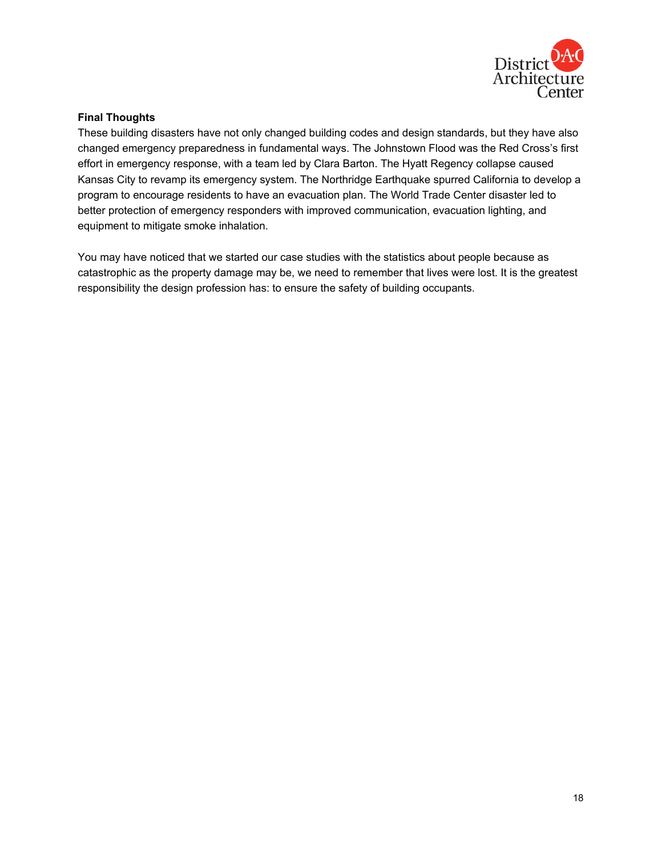

## **Final Thoughts**

These building disasters have not only changed building codes and design standards, but they have also changed emergency preparedness in fundamental ways. The Johnstown Flood was the Red Cross's first effort in emergency response, with a team led by Clara Barton. The Hyatt Regency collapse caused Kansas City to revamp its emergency system. The Northridge Earthquake spurred California to develop a program to encourage residents to have an evacuation plan. The World Trade Center disaster led to better protection of emergency responders with improved communication, evacuation lighting, and equipment to mitigate smoke inhalation.

You may have noticed that we started our case studies with the statistics about people because as catastrophic as the property damage may be, we need to remember that lives were lost. It is the greatest responsibility the design profession has: to ensure the safety of building occupants.